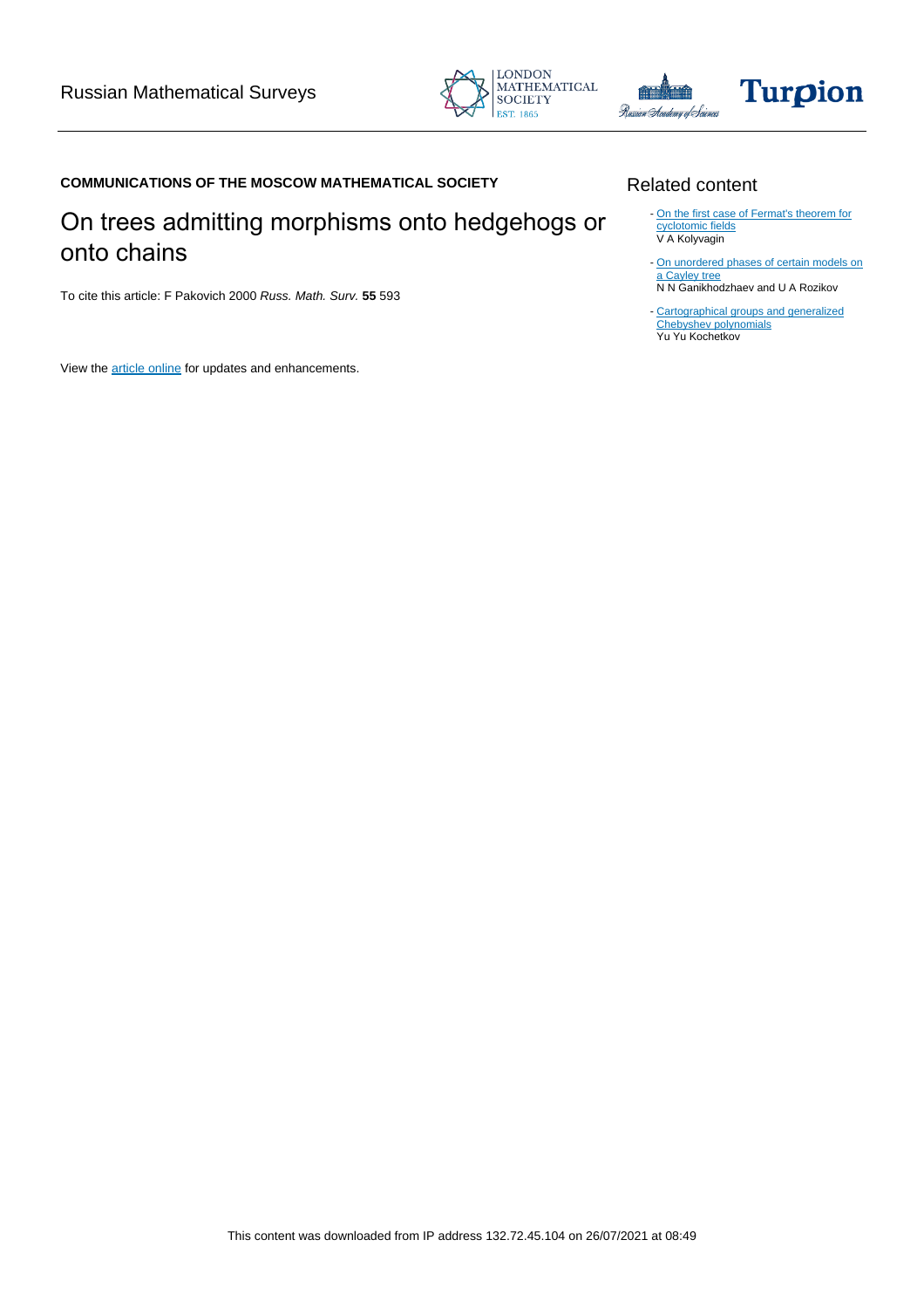



# Turpion

## **COMMUNICATIONS OF THE MOSCOW MATHEMATICAL SOCIETY**

## On trees admitting morphisms onto hedgehogs or onto chains

To cite this article: F Pakovich 2000 Russ. Math. Surv. **55** 593

View the [article online](https://doi.org/10.1070/RM2000v055n03ABEH000293) for updates and enhancements.

## Related content

- [On the first case of Fermat's theorem for](/article/10.1070/IM1999v063n05ABEH000262) [cyclotomic fields](/article/10.1070/IM1999v063n05ABEH000262) V A Kolyvagin
- [On unordered phases of certain models on](/article/10.1070/SM1999v190n02ABEH000382) [a Cayley tree](/article/10.1070/SM1999v190n02ABEH000382) N N Ganikhodzhaev and U A Rozikov

- [Cartographical groups and generalized](/article/10.1070/RM1994v049n06ABEH002454) [Chebyshev polynomials](/article/10.1070/RM1994v049n06ABEH002454) Yu Yu Kochetkov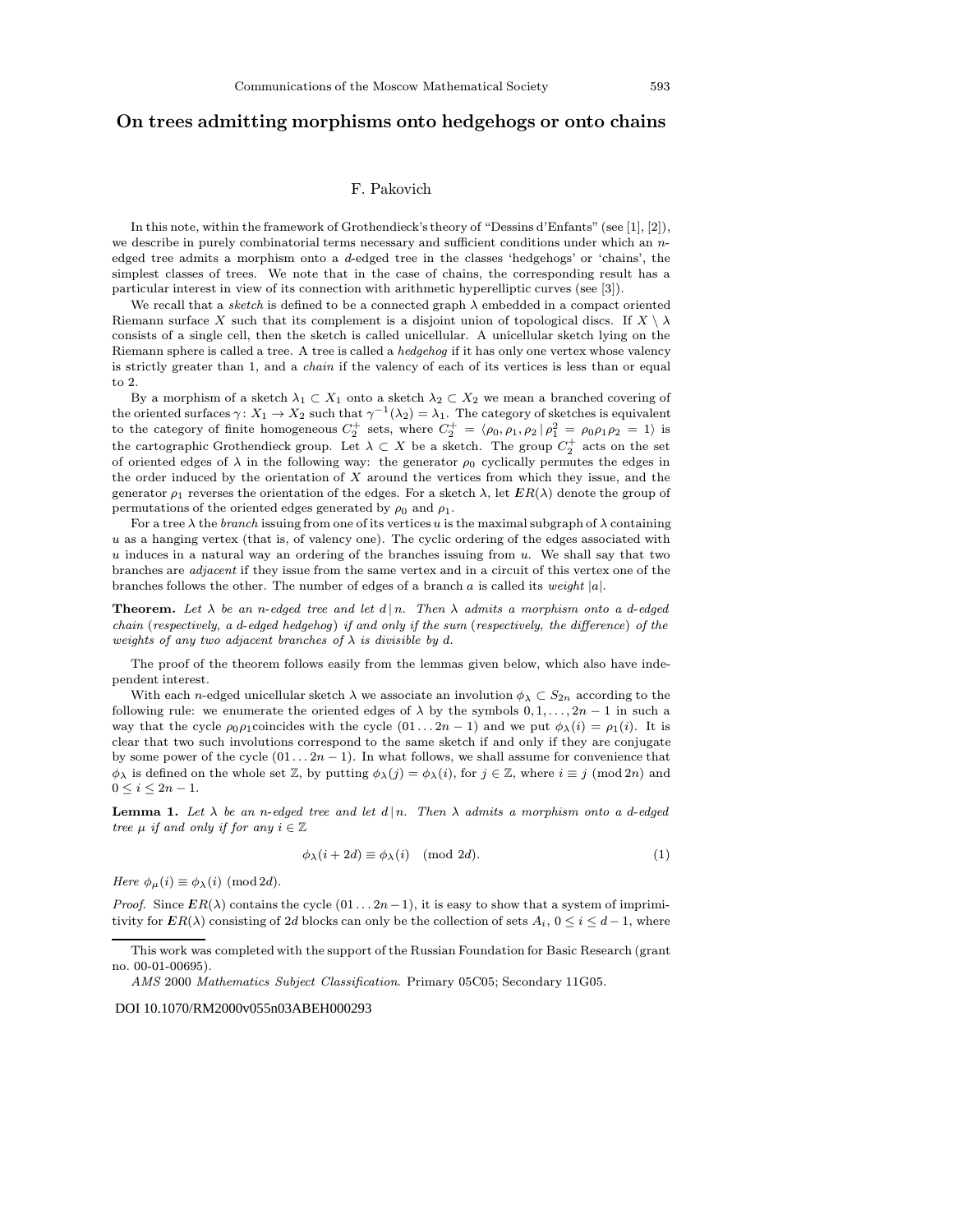### On trees admitting morphisms onto hedgehogs or onto chains

#### F. Pakovich

In this note, within the framework of Grothendieck's theory of "Dessins d'Enfants" (see [\[1\], \[2\]](#page-2-0)), we describe in purely combinatorial terms necessary and sufficient conditions under which an  $n$ edged tree admits a morphism onto a d-edged tree in the classes 'hedgehogs' or 'chains', the simplest classes of trees. We note that in the case of chains, the corresponding result has a particular interest in view of its connection with arithmetic hyperelliptic curves (see [\[3\]](#page-2-0)).

We recall that a sketch is defined to be a connected graph  $\lambda$  embedded in a compact oriented Riemann surface X such that its complement is a disjoint union of topological discs. If  $X \setminus \lambda$ consists of a single cell, then the sketch is called unicellular. A unicellular sketch lying on the Riemann sphere is called a tree. A tree is called a hedgehog if it has only one vertex whose valency is strictly greater than 1, and a chain if the valency of each of its vertices is less than or equal to 2.

By a morphism of a sketch  $\lambda_1 \subset X_1$  onto a sketch  $\lambda_2 \subset X_2$  we mean a branched covering of the oriented surfaces  $\gamma: X_1 \to X_2$  such that  $\gamma^{-1}(\lambda_2) = \lambda_1$ . The category of sketches is equivalent to the category of finite homogeneous  $C_2^+$  sets, where  $C_2^+ = \langle \rho_0, \rho_1, \rho_2 | \rho_1^2 = \rho_0 \rho_1 \rho_2 = 1 \rangle$  is the cartographic Grothendieck group. Let  $\lambda \subset X$  be a sketch. The group  $C_2^+$  acts on the set of oriented edges of  $\lambda$  in the following way: the generator  $\rho_0$  cyclically permutes the edges in the order induced by the orientation of X around the vertices from which they issue, and the generator  $\rho_1$  reverses the orientation of the edges. For a sketch  $\lambda$ , let  $ER(\lambda)$  denote the group of permutations of the oriented edges generated by  $\rho_0$  and  $\rho_1$ .

For a tree  $\lambda$  the *branch* issuing from one of its vertices u is the maximal subgraph of  $\lambda$  containing u as a hanging vertex (that is, of valency one). The cyclic ordering of the edges associated with u induces in a natural way an ordering of the branches issuing from  $u$ . We shall say that two branches are adjacent if they issue from the same vertex and in a circuit of this vertex one of the branches follows the other. The number of edges of a branch a is called its weight  $|a|$ .

**Theorem.** Let  $\lambda$  be an n-edged tree and let  $d | n$ . Then  $\lambda$  admits a morphism onto a d-edged chain (respectively, a d-edged hedgehog) if and only if the sum (respectively, the difference) of the weights of any two adjacent branches of  $\lambda$  is divisible by d.

The proof of the theorem follows easily from the lemmas given below, which also have independent interest.

With each n-edged unicellular sketch  $\lambda$  we associate an involution  $\phi_{\lambda} \subset S_{2n}$  according to the following rule: we enumerate the oriented edges of  $\lambda$  by the symbols  $0, 1, \ldots, 2n - 1$  in such a way that the cycle  $\rho_0 \rho_1$ coincides with the cycle  $(01 \dots 2n-1)$  and we put  $\phi_{\lambda}(i) = \rho_1(i)$ . It is clear that two such involutions correspond to the same sketch if and only if they are conjugate by some power of the cycle  $(01 \dots 2n-1)$ . In what follows, we shall assume for convenience that  $\phi_{\lambda}$  is defined on the whole set Z, by putting  $\phi_{\lambda}(j) = \phi_{\lambda}(i)$ , for  $j \in \mathbb{Z}$ , where  $i \equiv j \pmod{2n}$  and  $0 \leq i \leq 2n-1$ .

**Lemma 1.** Let  $\lambda$  be an n-edged tree and let d|n. Then  $\lambda$  admits a morphism onto a d-edged tree  $\mu$  if and only if for any  $i \in \mathbb{Z}$ 

$$
\phi_{\lambda}(i+2d) \equiv \phi_{\lambda}(i) \pmod{2d}.
$$
 (1)

Here  $\phi_{\mu}(i) \equiv \phi_{\lambda}(i) \pmod{2d}$ .

*Proof.* Since  $ER(\lambda)$  contains the cycle  $(01 \dots 2n-1)$ , it is easy to show that a system of imprimitivity for  $ER(\lambda)$  consisting of 2d blocks can only be the collection of sets  $A_i$ ,  $0 \le i \le d-1$ , where

#### DOI 10.1070/RM2000v055n03ABEH000293

This work was completed with the support of the Russian Foundation for Basic Research (grant no. 00-01-00695).

AMS 2000 Mathematics Subject Classification. Primary 05C05; Secondary 11G05.